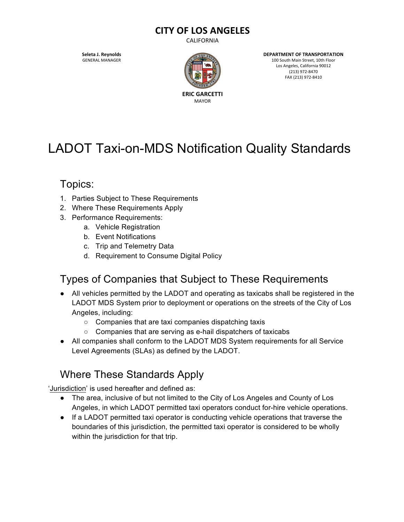#### **CITY OF LOS ANGELES**

CALIFORNIA

**Seleta J. Reynolds** GENERAL MANAGER



**DEPARTMENT OF TRANSPORTATION** 100 South Main Street, 10th Floor Los Angeles, California 90012 (213) 972-8470 FAX (213) 972-8410

# LADOT Taxi-on-MDS Notification Quality Standards

### Topics:

- 1. Parties Subject to These Requirements
- 2. Where These Requirements Apply
- 3. Performance Requirements:
	- a. Vehicle Registration
	- b. Event Notifications
	- c. Trip and Telemetry Data
	- d. Requirement to Consume Digital Policy

### Types of Companies that Subject to These Requirements

- All vehicles permitted by the LADOT and operating as taxicabs shall be registered in the LADOT MDS System prior to deployment or operations on the streets of the City of Los Angeles, including:
	- Companies that are taxi companies dispatching taxis
	- Companies that are serving as e-hail dispatchers of taxicabs
- All companies shall conform to the LADOT MDS System requirements for all Service Level Agreements (SLAs) as defined by the LADOT.

### Where These Standards Apply

'Jurisdiction' is used hereafter and defined as:

- The area, inclusive of but not limited to the City of Los Angeles and County of Los Angeles, in which LADOT permitted taxi operators conduct for-hire vehicle operations.
- If a LADOT permitted taxi operator is conducting vehicle operations that traverse the boundaries of this jurisdiction, the permitted taxi operator is considered to be wholly within the jurisdiction for that trip.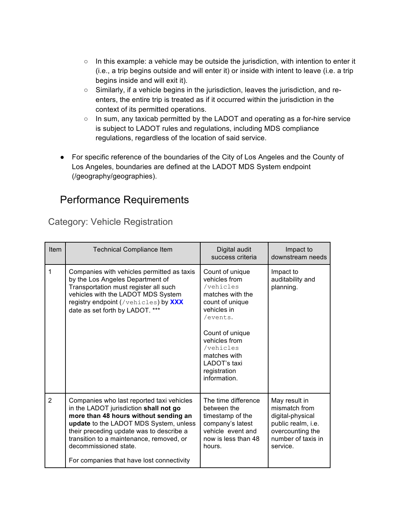- In this example: a vehicle may be outside the jurisdiction, with intention to enter it (i.e., a trip begins outside and will enter it) or inside with intent to leave (i.e. a trip begins inside and will exit it).
- Similarly, if a vehicle begins in the jurisdiction, leaves the jurisdiction, and reenters, the entire trip is treated as if it occurred within the jurisdiction in the context of its permitted operations.
- In sum, any taxicab permitted by the LADOT and operating as a for-hire service is subject to LADOT rules and regulations, including MDS compliance regulations, regardless of the location of said service.
- For specific reference of the boundaries of the City of Los Angeles and the County of Los Angeles, boundaries are defined at the LADOT MDS System endpoint (/geography/geographies).

### Performance Requirements

Category: Vehicle Registration

| <b>Item</b>    | <b>Technical Compliance Item</b>                                                                                                                                                                                                                                                                                                     | Digital audit<br>success criteria                                                                                                                                                                                                | Impact to<br>downstream needs                                                                                                  |
|----------------|--------------------------------------------------------------------------------------------------------------------------------------------------------------------------------------------------------------------------------------------------------------------------------------------------------------------------------------|----------------------------------------------------------------------------------------------------------------------------------------------------------------------------------------------------------------------------------|--------------------------------------------------------------------------------------------------------------------------------|
| 1              | Companies with vehicles permitted as taxis<br>by the Los Angeles Department of<br>Transportation must register all such<br>vehicles with the LADOT MDS System<br>registry endpoint (/vehicles) by XXX<br>date as set forth by LADOT. ***                                                                                             | Count of unique<br>vehicles from<br>/vehicles<br>matches with the<br>count of unique<br>vehicles in<br>/events.<br>Count of unique<br>vehicles from<br>/vehicles<br>matches with<br>LADOT's taxi<br>registration<br>information. | Impact to<br>auditability and<br>planning.                                                                                     |
| $\overline{2}$ | Companies who last reported taxi vehicles<br>in the LADOT jurisdiction shall not go<br>more than 48 hours without sending an<br>update to the LADOT MDS System, unless<br>their preceding update was to describe a<br>transition to a maintenance, removed, or<br>decommissioned state.<br>For companies that have lost connectivity | The time difference<br>between the<br>timestamp of the<br>company's latest<br>vehicle event and<br>now is less than 48<br>hours.                                                                                                 | May result in<br>mismatch from<br>digital-physical<br>public realm, i.e.<br>overcounting the<br>number of taxis in<br>service. |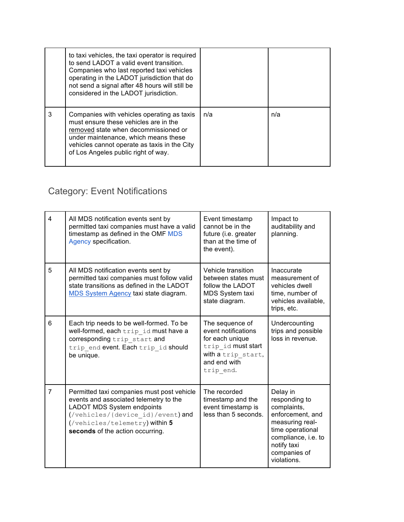|   | to taxi vehicles, the taxi operator is required<br>to send LADOT a valid event transition.<br>Companies who last reported taxi vehicles<br>operating in the LADOT jurisdiction that do<br>not send a signal after 48 hours will still be<br>considered in the LADOT jurisdiction. |     |     |
|---|-----------------------------------------------------------------------------------------------------------------------------------------------------------------------------------------------------------------------------------------------------------------------------------|-----|-----|
| 3 | Companies with vehicles operating as taxis<br>must ensure these vehicles are in the<br>removed state when decommissioned or<br>under maintenance, which means these<br>vehicles cannot operate as taxis in the City<br>of Los Angeles public right of way.                        | n/a | n/a |

## Category: Event Notifications

| $\overline{\mathbf{A}}$ | All MDS notification events sent by<br>permitted taxi companies must have a valid<br>timestamp as defined in the OMF MDS<br>Agency specification.                                                                             | Event timestamp<br>cannot be in the<br>future (i.e. greater<br>than at the time of<br>the event).                                  | Impact to<br>auditability and<br>planning.                                                                                                                               |
|-------------------------|-------------------------------------------------------------------------------------------------------------------------------------------------------------------------------------------------------------------------------|------------------------------------------------------------------------------------------------------------------------------------|--------------------------------------------------------------------------------------------------------------------------------------------------------------------------|
| 5                       | All MDS notification events sent by<br>permitted taxi companies must follow valid<br>state transitions as defined in the LADOT<br>MDS System Agency taxi state diagram.                                                       | Vehicle transition<br>between states must<br>follow the LADOT<br>MDS System taxi<br>state diagram.                                 | Inaccurate<br>measurement of<br>vehicles dwell<br>time, number of<br>vehicles available,<br>trips, etc.                                                                  |
| 6                       | Each trip needs to be well-formed. To be<br>well-formed, each trip id must have a<br>corresponding trip start and<br>trip end event. Each trip id should<br>be unique.                                                        | The sequence of<br>event notifications<br>for each unique<br>trip id must start<br>with a trip start,<br>and end with<br>trip end. | Undercounting<br>trips and possible<br>loss in revenue.                                                                                                                  |
| $\overline{7}$          | Permitted taxi companies must post vehicle<br>events and associated telemetry to the<br>LADOT MDS System endpoints<br>(/vehicles/{device id}/event) and<br>(/vehicles/telemetry) within 5<br>seconds of the action occurring. | The recorded<br>timestamp and the<br>event timestamp is<br>less than 5 seconds.                                                    | Delay in<br>responding to<br>complaints,<br>enforcement, and<br>measuring real-<br>time operational<br>compliance, i.e. to<br>notify taxi<br>companies of<br>violations. |